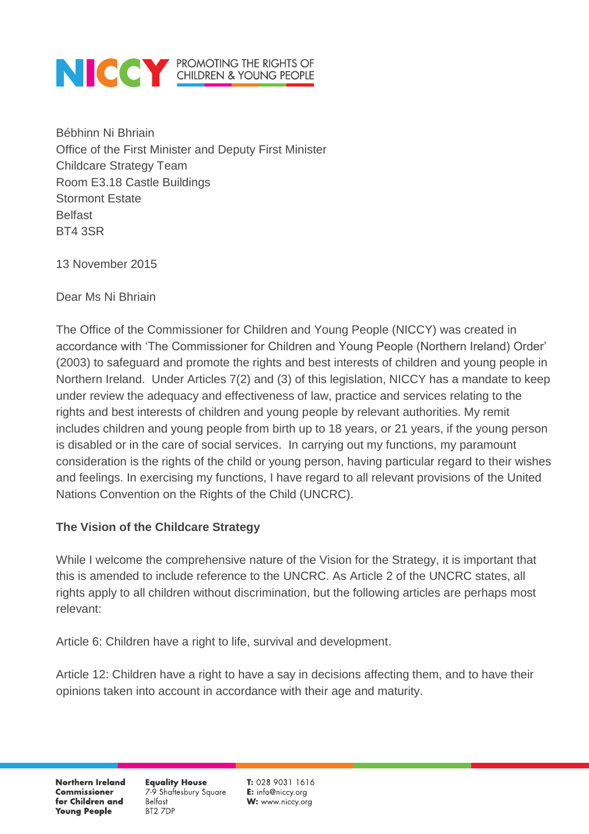Bébhinn Ni Bhriain Office of the First Minister and Deputy First Minister Childcare Strategy Team Room E3.18 Castle Buildings Stormont Estate Belfast BT4 3SR

13 November 2015

Dear Ms Ni Bhriain

The Office of the Commissioner for Children and Young People (NICCY) was created in accordance with 'The Commissioner for Children and Young People (Northern Ireland) Order' (2003) to safeguard and promote the rights and best interests of children and young people in Northern Ireland. Under Articles 7(2) and (3) of this legislation, NICCY has a mandate to keep under review the adequacy and effectiveness of law, practice and services relating to the rights and best interests of children and young people by relevant authorities. My remit includes children and young people from birth up to 18 years, or 21 years, if the young person is disabled or in the care of social services. In carrying out my functions, my paramount consideration is the rights of the child or young person, having particular regard to their wishes and feelings. In exercising my functions, I have regard to all relevant provisions of the United Nations Convention on the Rights of the Child (UNCRC).

#### **The Vision of the Childcare Strategy**

While I welcome the comprehensive nature of the Vision for the Strategy, it is important that this is amended to include reference to the UNCRC. As Article 2 of the UNCRC states, all rights apply to all children without discrimination, but the following articles are perhaps most relevant:

Article 6: Children have a right to life, survival and development.

Article 12: Children have a right to have a say in decisions affecting them, and to have their opinions taken into account in accordance with their age and maturity.

**Northern Ireland Commissioner** for Children and **Young People** 

**Equality House** 7-9 Shaftesbury Square **Belfast** BT2 7DP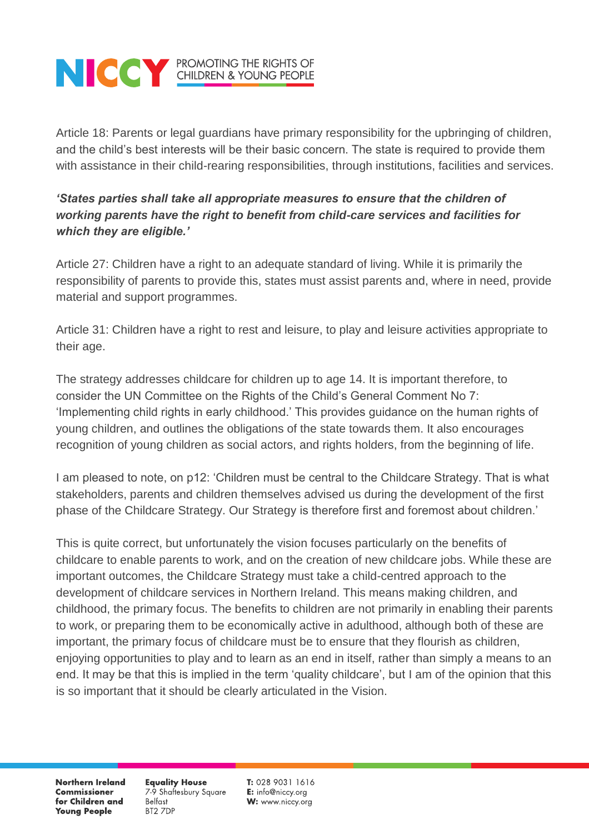Article 18: Parents or legal guardians have primary responsibility for the upbringing of children, and the child's best interests will be their basic concern. The state is required to provide them with assistance in their child-rearing responsibilities, through institutions, facilities and services.

#### *'States parties shall take all appropriate measures to ensure that the children of working parents have the right to benefit from child-care services and facilities for which they are eligible.'*

Article 27: Children have a right to an adequate standard of living. While it is primarily the responsibility of parents to provide this, states must assist parents and, where in need, provide material and support programmes.

Article 31: Children have a right to rest and leisure, to play and leisure activities appropriate to their age.

The strategy addresses childcare for children up to age 14. It is important therefore, to consider the UN Committee on the Rights of the Child's General Comment No 7: 'Implementing child rights in early childhood.' This provides guidance on the human rights of young children, and outlines the obligations of the state towards them. It also encourages recognition of young children as social actors, and rights holders, from the beginning of life.

I am pleased to note, on p12: 'Children must be central to the Childcare Strategy. That is what stakeholders, parents and children themselves advised us during the development of the first phase of the Childcare Strategy. Our Strategy is therefore first and foremost about children.'

This is quite correct, but unfortunately the vision focuses particularly on the benefits of childcare to enable parents to work, and on the creation of new childcare jobs. While these are important outcomes, the Childcare Strategy must take a child-centred approach to the development of childcare services in Northern Ireland. This means making children, and childhood, the primary focus. The benefits to children are not primarily in enabling their parents to work, or preparing them to be economically active in adulthood, although both of these are important, the primary focus of childcare must be to ensure that they flourish as children, enjoying opportunities to play and to learn as an end in itself, rather than simply a means to an end. It may be that this is implied in the term 'quality childcare', but I am of the opinion that this is so important that it should be clearly articulated in the Vision.

**Northern Ireland Commissioner** for Children and **Young People** 

**Equality House** 7-9 Shaftesbury Square **Belfast** BT2 7DP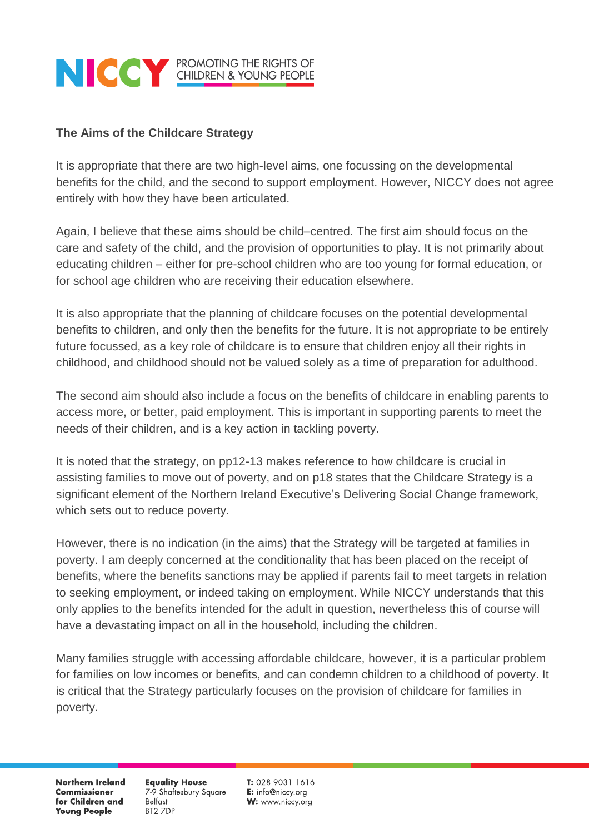#### **The Aims of the Childcare Strategy**

It is appropriate that there are two high-level aims, one focussing on the developmental benefits for the child, and the second to support employment. However, NICCY does not agree entirely with how they have been articulated.

Again, I believe that these aims should be child–centred. The first aim should focus on the care and safety of the child, and the provision of opportunities to play. It is not primarily about educating children – either for pre-school children who are too young for formal education, or for school age children who are receiving their education elsewhere.

It is also appropriate that the planning of childcare focuses on the potential developmental benefits to children, and only then the benefits for the future. It is not appropriate to be entirely future focussed, as a key role of childcare is to ensure that children enjoy all their rights in childhood, and childhood should not be valued solely as a time of preparation for adulthood.

The second aim should also include a focus on the benefits of childcare in enabling parents to access more, or better, paid employment. This is important in supporting parents to meet the needs of their children, and is a key action in tackling poverty.

It is noted that the strategy, on pp12-13 makes reference to how childcare is crucial in assisting families to move out of poverty, and on p18 states that the Childcare Strategy is a significant element of the Northern Ireland Executive's Delivering Social Change framework, which sets out to reduce poverty.

However, there is no indication (in the aims) that the Strategy will be targeted at families in poverty. I am deeply concerned at the conditionality that has been placed on the receipt of benefits, where the benefits sanctions may be applied if parents fail to meet targets in relation to seeking employment, or indeed taking on employment. While NICCY understands that this only applies to the benefits intended for the adult in question, nevertheless this of course will have a devastating impact on all in the household, including the children.

Many families struggle with accessing affordable childcare, however, it is a particular problem for families on low incomes or benefits, and can condemn children to a childhood of poverty. It is critical that the Strategy particularly focuses on the provision of childcare for families in poverty.

**Northern Ireland Commissioner** for Children and **Young People** 

**Equality House** 7-9 Shaftesbury Square **Belfast** BT2 7DP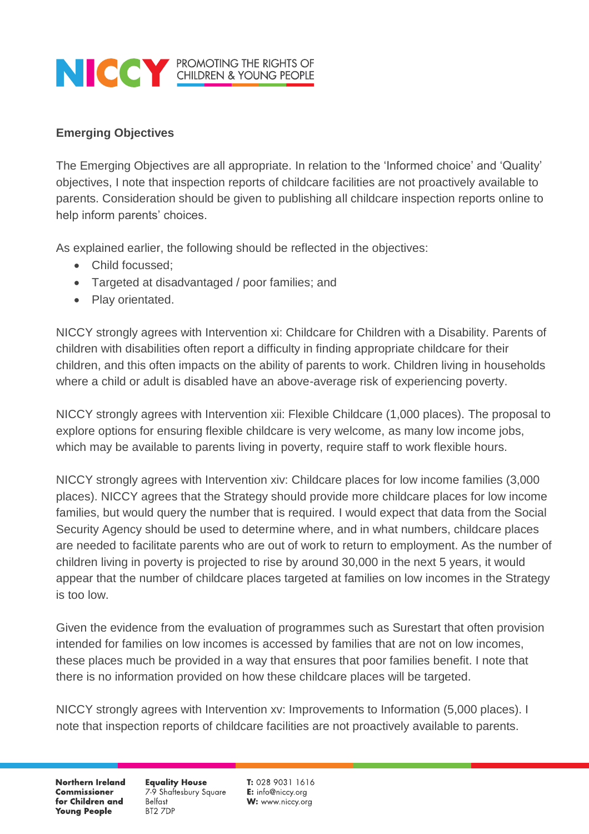#### **Emerging Objectives**

The Emerging Objectives are all appropriate. In relation to the 'Informed choice' and 'Quality' objectives, I note that inspection reports of childcare facilities are not proactively available to parents. Consideration should be given to publishing all childcare inspection reports online to help inform parents' choices.

As explained earlier, the following should be reflected in the objectives:

- Child focussed;
- Targeted at disadvantaged / poor families; and
- Play orientated.

NICCY strongly agrees with Intervention xi: Childcare for Children with a Disability. Parents of children with disabilities often report a difficulty in finding appropriate childcare for their children, and this often impacts on the ability of parents to work. Children living in households where a child or adult is disabled have an above-average risk of experiencing poverty.

NICCY strongly agrees with Intervention xii: Flexible Childcare (1,000 places). The proposal to explore options for ensuring flexible childcare is very welcome, as many low income jobs, which may be available to parents living in poverty, require staff to work flexible hours.

NICCY strongly agrees with Intervention xiv: Childcare places for low income families (3,000 places). NICCY agrees that the Strategy should provide more childcare places for low income families, but would query the number that is required. I would expect that data from the Social Security Agency should be used to determine where, and in what numbers, childcare places are needed to facilitate parents who are out of work to return to employment. As the number of children living in poverty is projected to rise by around 30,000 in the next 5 years, it would appear that the number of childcare places targeted at families on low incomes in the Strategy is too low.

Given the evidence from the evaluation of programmes such as Surestart that often provision intended for families on low incomes is accessed by families that are not on low incomes, these places much be provided in a way that ensures that poor families benefit. I note that there is no information provided on how these childcare places will be targeted.

NICCY strongly agrees with Intervention xv: Improvements to Information (5,000 places). I note that inspection reports of childcare facilities are not proactively available to parents.

**Northern Ireland Commissioner** for Children and **Young People** 

**Equality House** 7-9 Shaftesbury Square **Belfast** BT2 ZDP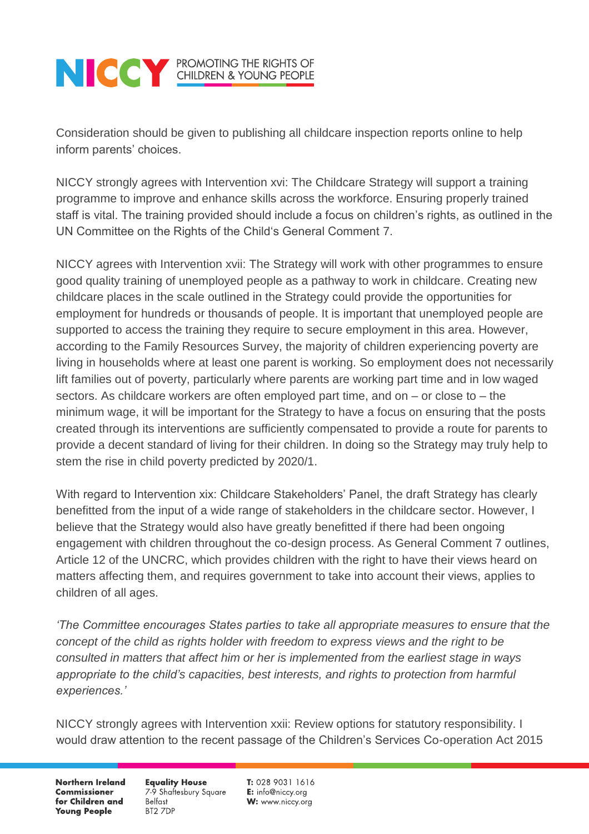Consideration should be given to publishing all childcare inspection reports online to help inform parents' choices.

NICCY strongly agrees with Intervention xvi: The Childcare Strategy will support a training programme to improve and enhance skills across the workforce. Ensuring properly trained staff is vital. The training provided should include a focus on children's rights, as outlined in the UN Committee on the Rights of the Child's General Comment 7.

NICCY agrees with Intervention xvii: The Strategy will work with other programmes to ensure good quality training of unemployed people as a pathway to work in childcare. Creating new childcare places in the scale outlined in the Strategy could provide the opportunities for employment for hundreds or thousands of people. It is important that unemployed people are supported to access the training they require to secure employment in this area. However, according to the Family Resources Survey, the majority of children experiencing poverty are living in households where at least one parent is working. So employment does not necessarily lift families out of poverty, particularly where parents are working part time and in low waged sectors. As childcare workers are often employed part time, and on – or close to – the minimum wage, it will be important for the Strategy to have a focus on ensuring that the posts created through its interventions are sufficiently compensated to provide a route for parents to provide a decent standard of living for their children. In doing so the Strategy may truly help to stem the rise in child poverty predicted by 2020/1.

With regard to Intervention xix: Childcare Stakeholders' Panel, the draft Strategy has clearly benefitted from the input of a wide range of stakeholders in the childcare sector. However, I believe that the Strategy would also have greatly benefitted if there had been ongoing engagement with children throughout the co-design process. As General Comment 7 outlines, Article 12 of the UNCRC, which provides children with the right to have their views heard on matters affecting them, and requires government to take into account their views, applies to children of all ages.

*'The Committee encourages States parties to take all appropriate measures to ensure that the concept of the child as rights holder with freedom to express views and the right to be consulted in matters that affect him or her is implemented from the earliest stage in ways appropriate to the child's capacities, best interests, and rights to protection from harmful experiences.'*

NICCY strongly agrees with Intervention xxii: Review options for statutory responsibility. I would draw attention to the recent passage of the Children's Services Co-operation Act 2015

**Northern Ireland Commissioner** for Children and **Young People** 

**Equality House** 7-9 Shaftesbury Square **Belfast** BT2 7DP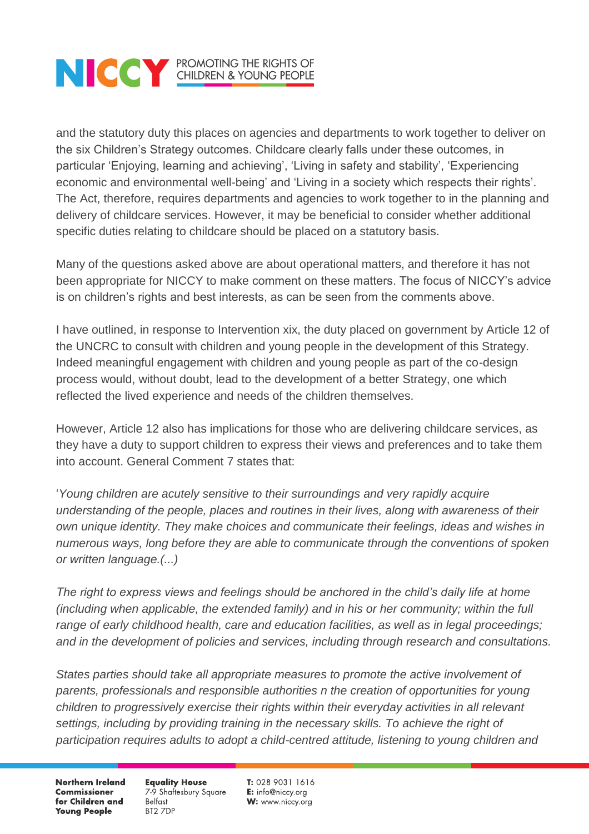and the statutory duty this places on agencies and departments to work together to deliver on the six Children's Strategy outcomes. Childcare clearly falls under these outcomes, in particular 'Enjoying, learning and achieving', 'Living in safety and stability', 'Experiencing economic and environmental well-being' and 'Living in a society which respects their rights'. The Act, therefore, requires departments and agencies to work together to in the planning and delivery of childcare services. However, it may be beneficial to consider whether additional specific duties relating to childcare should be placed on a statutory basis.

Many of the questions asked above are about operational matters, and therefore it has not been appropriate for NICCY to make comment on these matters. The focus of NICCY's advice is on children's rights and best interests, as can be seen from the comments above.

I have outlined, in response to Intervention xix, the duty placed on government by Article 12 of the UNCRC to consult with children and young people in the development of this Strategy. Indeed meaningful engagement with children and young people as part of the co-design process would, without doubt, lead to the development of a better Strategy, one which reflected the lived experience and needs of the children themselves.

However, Article 12 also has implications for those who are delivering childcare services, as they have a duty to support children to express their views and preferences and to take them into account. General Comment 7 states that:

'*Young children are acutely sensitive to their surroundings and very rapidly acquire understanding of the people, places and routines in their lives, along with awareness of their own unique identity. They make choices and communicate their feelings, ideas and wishes in numerous ways, long before they are able to communicate through the conventions of spoken or written language.(...)* 

The right to express views and feelings should be anchored in the child's daily life at home *(including when applicable, the extended family) and in his or her community; within the full range of early childhood health, care and education facilities, as well as in legal proceedings; and in the development of policies and services, including through research and consultations.*

*States parties should take all appropriate measures to promote the active involvement of parents, professionals and responsible authorities n the creation of opportunities for young children to progressively exercise their rights within their everyday activities in all relevant*  settings, including by providing training in the necessary skills. To achieve the right of *participation requires adults to adopt a child-centred attitude, listening to young children and* 

**Northern Ireland Commissioner** for Children and **Young People** 

**Equality House** 7-9 Shaftesbury Square **Belfast** BT2 7DP